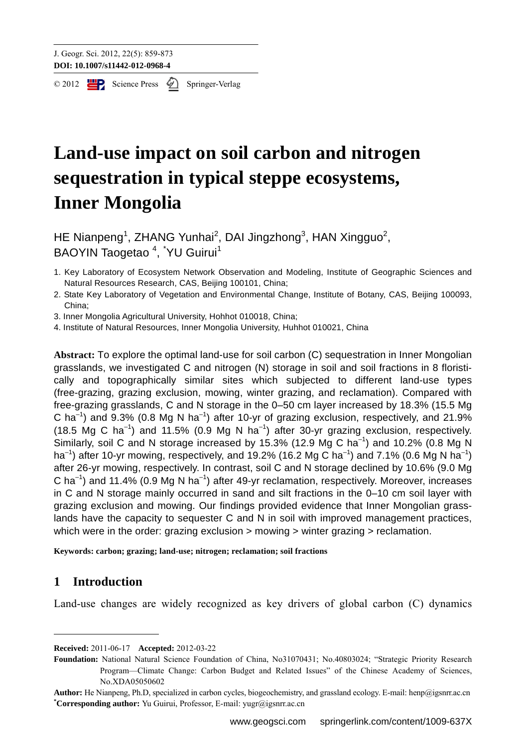$\circ$  2012  $\Box$  Science Press  $\oslash$  Springer-Verlag

# **Land-use impact on soil carbon and nitrogen sequestration in typical steppe ecosystems, Inner Mongolia**

HE Nianpeng<sup>1</sup>, ZHANG Yunhai<sup>2</sup>, DAI Jingzhong<sup>3</sup>, HAN Xingguo<sup>2</sup>, BAOYIN Taogetao<sup>4</sup>, <sup>\*</sup>YU Guirui<sup>1</sup>

- 1. Key Laboratory of Ecosystem Network Observation and Modeling, Institute of Geographic Sciences and Natural Resources Research, CAS, Beijing 100101, China;
- 2. State Key Laboratory of Vegetation and Environmental Change, Institute of Botany, CAS, Beijing 100093, China;
- 3. Inner Mongolia Agricultural University, Hohhot 010018, China;
- 4. Institute of Natural Resources, Inner Mongolia University, Huhhot 010021, China

**Abstract:** To explore the optimal land-use for soil carbon (C) sequestration in Inner Mongolian grasslands, we investigated C and nitrogen (N) storage in soil and soil fractions in 8 floristically and topographically similar sites which subjected to different land-use types (free-grazing, grazing exclusion, mowing, winter grazing, and reclamation). Compared with free-grazing grasslands, C and N storage in the 0–50 cm layer increased by 18.3% (15.5 Mg C ha<sup>-1</sup>) and 9.3% (0.8 Mg N ha<sup>-1</sup>) after 10-yr of grazing exclusion, respectively, and 21.9% (18.5 Mg C ha<sup>-1</sup>) and 11.5% (0.9 Mg N ha<sup>-1</sup>) after 30-yr grazing exclusion, respectively. Similarly, soil C and N storage increased by 15.3% (12.9 Mg C ha<sup>-1</sup>) and 10.2% (0.8 Mg N ha<sup>-1</sup>) after 10-yr mowing, respectively, and 19.2% (16.2 Mg C ha<sup>-1</sup>) and 7.1% (0.6 Mg N ha<sup>-1</sup>) after 26-yr mowing, respectively. In contrast, soil C and N storage declined by 10.6% (9.0 Mg C ha<sup>-1</sup>) and 11.4% (0.9 Mg N ha<sup>-1</sup>) after 49-yr reclamation, respectively. Moreover, increases in C and N storage mainly occurred in sand and silt fractions in the 0–10 cm soil layer with grazing exclusion and mowing. Our findings provided evidence that Inner Mongolian grasslands have the capacity to sequester C and N in soil with improved management practices, which were in the order: grazing exclusion > mowing > winter grazing > reclamation.

**Keywords: carbon; grazing; land-use; nitrogen; reclamation; soil fractions** 

# **1 Introduction**

Land-use changes are widely recognized as key drivers of global carbon (C) dynamics

**Received:** 2011-06-17 **Accepted:** 2012-03-22

**Foundation:** National Natural Science Foundation of China, No31070431; No.40803024; "Strategic Priority Research Program—Climate Change: Carbon Budget and Related Issues" of the Chinese Academy of Sciences, No.XDA05050602

**Author:** He Nianpeng, Ph.D, specialized in carbon cycles, biogeochemistry, and grassland ecology. E-mail: henp@igsnrr.ac.cn **\* Corresponding author:** Yu Guirui, Professor, E-mail: yugr@igsnrr.ac.cn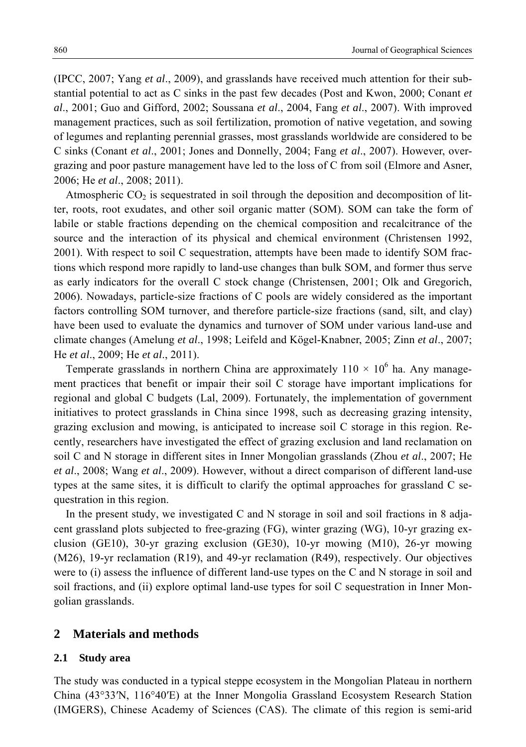(IPCC, 2007; Yang *et al*., 2009), and grasslands have received much attention for their substantial potential to act as C sinks in the past few decades (Post and Kwon, 2000; Conant *et al*., 2001; Guo and Gifford, 2002; Soussana *et al*., 2004, Fang *et al*., 2007). With improved management practices, such as soil fertilization, promotion of native vegetation, and sowing of legumes and replanting perennial grasses, most grasslands worldwide are considered to be C sinks (Conant *et al*., 2001; Jones and Donnelly, 2004; Fang *et al*., 2007). However, overgrazing and poor pasture management have led to the loss of C from soil (Elmore and Asner, 2006; He *et al*., 2008; 2011).

Atmospheric  $CO<sub>2</sub>$  is sequestrated in soil through the deposition and decomposition of litter, roots, root exudates, and other soil organic matter (SOM). SOM can take the form of labile or stable fractions depending on the chemical composition and recalcitrance of the source and the interaction of its physical and chemical environment (Christensen 1992, 2001). With respect to soil C sequestration, attempts have been made to identify SOM fractions which respond more rapidly to land-use changes than bulk SOM, and former thus serve as early indicators for the overall C stock change (Christensen, 2001; Olk and Gregorich, 2006). Nowadays, particle-size fractions of C pools are widely considered as the important factors controlling SOM turnover, and therefore particle-size fractions (sand, silt, and clay) have been used to evaluate the dynamics and turnover of SOM under various land-use and climate changes (Amelung *et al*., 1998; Leifeld and Kögel-Knabner, 2005; Zinn *et al*., 2007; He *et al*., 2009; He *et al*., 2011).

Temperate grasslands in northern China are approximately  $110 \times 10^6$  ha. Any management practices that benefit or impair their soil C storage have important implications for regional and global C budgets (Lal, 2009). Fortunately, the implementation of government initiatives to protect grasslands in China since 1998, such as decreasing grazing intensity, grazing exclusion and mowing, is anticipated to increase soil C storage in this region. Recently, researchers have investigated the effect of grazing exclusion and land reclamation on soil C and N storage in different sites in Inner Mongolian grasslands (Zhou *et al*., 2007; He *et al*., 2008; Wang *et al*., 2009). However, without a direct comparison of different land-use types at the same sites, it is difficult to clarify the optimal approaches for grassland C sequestration in this region.

In the present study, we investigated C and N storage in soil and soil fractions in 8 adjacent grassland plots subjected to free-grazing (FG), winter grazing (WG), 10-yr grazing exclusion (GE10), 30-yr grazing exclusion (GE30), 10-yr mowing (M10), 26-yr mowing (M26), 19-yr reclamation (R19), and 49-yr reclamation (R49), respectively. Our objectives were to (i) assess the influence of different land-use types on the C and N storage in soil and soil fractions, and (ii) explore optimal land-use types for soil C sequestration in Inner Mongolian grasslands.

#### **2 Materials and methods**

#### **2.1 Study area**

The study was conducted in a typical steppe ecosystem in the Mongolian Plateau in northern China (43°33′N, 116°40′E) at the Inner Mongolia Grassland Ecosystem Research Station (IMGERS), Chinese Academy of Sciences (CAS). The climate of this region is semi-arid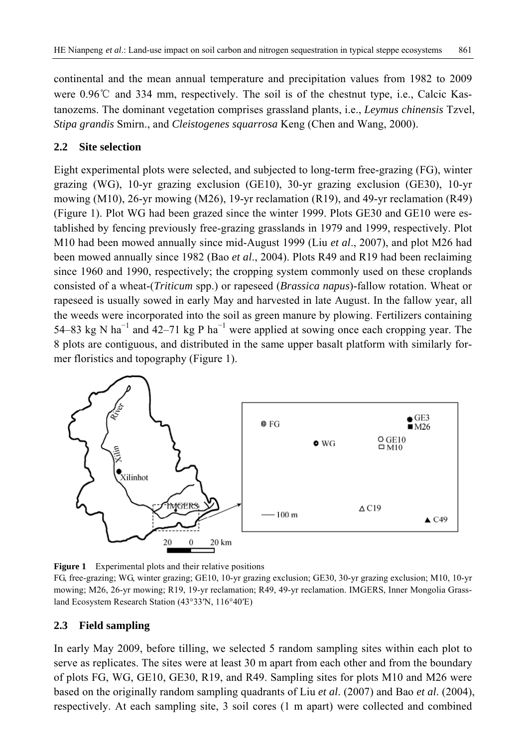continental and the mean annual temperature and precipitation values from 1982 to 2009 were 0.96℃ and 334 mm, respectively. The soil is of the chestnut type, i.e., Calcic Kastanozems. The dominant vegetation comprises grassland plants, i.e., *Leymus chinensis* Tzvel, *Stipa grandis* Smirn., and *Cleistogenes squarrosa* Keng (Chen and Wang, 2000).

# **2.2 Site selection**

Eight experimental plots were selected, and subjected to long-term free-grazing (FG), winter grazing (WG), 10-yr grazing exclusion (GE10), 30-yr grazing exclusion (GE30), 10-yr mowing (M10), 26-yr mowing (M26), 19-yr reclamation (R19), and 49-yr reclamation (R49) (Figure 1). Plot WG had been grazed since the winter 1999. Plots GE30 and GE10 were established by fencing previously free-grazing grasslands in 1979 and 1999, respectively. Plot M10 had been mowed annually since mid-August 1999 (Liu *et al*., 2007), and plot M26 had been mowed annually since 1982 (Bao *et al*., 2004). Plots R49 and R19 had been reclaiming since 1960 and 1990, respectively; the cropping system commonly used on these croplands consisted of a wheat-(*Triticum* spp.) or rapeseed (*Brassica napus*)-fallow rotation. Wheat or rapeseed is usually sowed in early May and harvested in late August. In the fallow year, all the weeds were incorporated into the soil as green manure by plowing. Fertilizers containing 54–83 kg N ha<sup>-1</sup> and 42–71 kg P ha<sup>-1</sup> were applied at sowing once each cropping year. The 8 plots are contiguous, and distributed in the same upper basalt platform with similarly former floristics and topography (Figure 1).



**Figure 1** Experimental plots and their relative positions

# **2.3 Field sampling**

In early May 2009, before tilling, we selected 5 random sampling sites within each plot to serve as replicates. The sites were at least 30 m apart from each other and from the boundary of plots FG, WG, GE10, GE30, R19, and R49. Sampling sites for plots M10 and M26 were based on the originally random sampling quadrants of Liu *et al*. (2007) and Bao *et al*. (2004), respectively. At each sampling site, 3 soil cores (1 m apart) were collected and combined

FG, free-grazing; WG, winter grazing; GE10, 10-yr grazing exclusion; GE30, 30-yr grazing exclusion; M10, 10-yr mowing; M26, 26-yr mowing; R19, 19-yr reclamation; R49, 49-yr reclamation. IMGERS, Inner Mongolia Grassland Ecosystem Research Station (43°33′N, 116°40′E)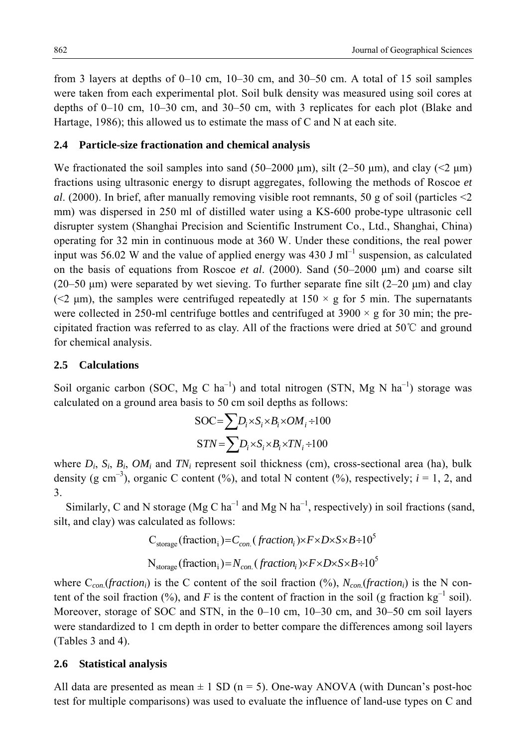from 3 layers at depths of 0–10 cm, 10–30 cm, and 30–50 cm. A total of 15 soil samples were taken from each experimental plot. Soil bulk density was measured using soil cores at depths of 0–10 cm, 10–30 cm, and 30–50 cm, with 3 replicates for each plot (Blake and Hartage, 1986); this allowed us to estimate the mass of C and N at each site.

#### **2.4 Particle-size fractionation and chemical analysis**

We fractionated the soil samples into sand (50–2000 μm), silt (2–50 μm), and clay ( $\leq$   $\mu$ m) fractions using ultrasonic energy to disrupt aggregates, following the methods of Roscoe *et al.* (2000). In brief, after manually removing visible root remnants, 50 g of soil (particles  $\leq$ 2) mm) was dispersed in 250 ml of distilled water using a KS-600 probe-type ultrasonic cell disrupter system (Shanghai Precision and Scientific Instrument Co., Ltd., Shanghai, China) operating for 32 min in continuous mode at 360 W. Under these conditions, the real power input was 56.02 W and the value of applied energy was 430 J  $ml^{-1}$  suspension, as calculated on the basis of equations from Roscoe *et al*. (2000). Sand (50–2000 μm) and coarse silt  $(20-50 \text{ µm})$  were separated by wet sieving. To further separate fine silt  $(2-20 \text{ µm})$  and clay ( $\leq$  µm), the samples were centrifuged repeatedly at 150  $\times$  g for 5 min. The supernatants were collected in 250-ml centrifuge bottles and centrifuged at  $3900 \times g$  for 30 min; the precipitated fraction was referred to as clay. All of the fractions were dried at 50℃ and ground for chemical analysis.

## **2.5 Calculations**

Soil organic carbon (SOC, Mg C ha<sup>-1</sup>) and total nitrogen (STN, Mg N ha<sup>-1</sup>) storage was calculated on a ground area basis to 50 cm soil depths as follows:

$$
SOC = \sum D_i \times S_i \times B_i \times OM_i \div 100
$$
  

$$
STN = \sum D_i \times S_i \times B_i \times TN_i \div 100
$$

where  $D_i$ ,  $S_i$ ,  $B_i$ ,  $OM_i$  and  $TN_i$  represent soil thickness (cm), cross-sectional area (ha), bulk density (g cm<sup>-3</sup>), organic C content (%), and total N content (%), respectively;  $i = 1, 2$ , and 3.

Similarly, C and N storage (Mg C ha<sup>-1</sup> and Mg N ha<sup>-1</sup>, respectively) in soil fractions (sand, silt, and clay) was calculated as follows:

$$
C_{\text{storage}}(\text{fraction}_{i}) = C_{con.}(\text{fraction}_{i}) \times F \times D \times S \times B \div 10^{5}
$$
  

$$
N_{\text{storage}}(\text{fraction}_{i}) = N_{con.}(\text{fraction}_{i}) \times F \times D \times S \times B \div 10^{5}
$$

where  $C_{con}$  (*fraction<sub>i</sub>*) is the C content of the soil fraction (%),  $N_{con}$  (*fraction<sub>i</sub>*) is the N content of the soil fraction (%), and *F* is the content of fraction in the soil (g fraction kg<sup>-1</sup> soil). Moreover, storage of SOC and STN, in the 0–10 cm, 10–30 cm, and 30–50 cm soil layers were standardized to 1 cm depth in order to better compare the differences among soil layers (Tables 3 and 4).

## **2.6 Statistical analysis**

All data are presented as mean  $\pm$  1 SD (n = 5). One-way ANOVA (with Duncan's post-hoc test for multiple comparisons) was used to evaluate the influence of land-use types on C and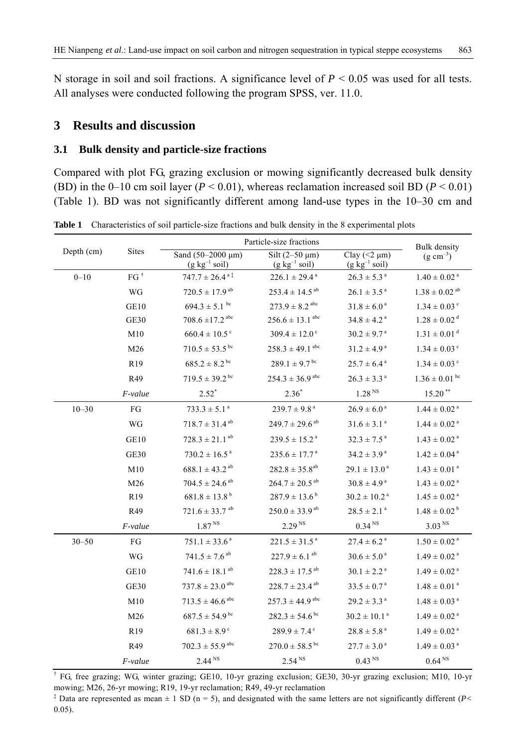N storage in soil and soil fractions. A significance level of *P* < 0.05 was used for all tests. All analyses were conducted following the program SPSS, ver. 11.0.

# **3 Results and discussion**

## **3.1 Bulk density and particle-size fractions**

Compared with plot FG, grazing exclusion or mowing significantly decreased bulk density (BD) in the 0–10 cm soil layer ( $P < 0.01$ ), whereas reclamation increased soil BD ( $P < 0.01$ ) (Table 1). BD was not significantly different among land-use types in the 10–30 cm and

| Depth (cm) | <b>Sites</b>    | Particle-size fractions                                 | Bulk density                              |                                                          |                               |
|------------|-----------------|---------------------------------------------------------|-------------------------------------------|----------------------------------------------------------|-------------------------------|
|            |                 | Sand (50-2000 µm)<br>$(g \text{ kg}^{-1} \text{ soil})$ | Silt $(2-50 \mu m)$<br>$(g kg^{-1} soil)$ | Clay $(< 2 \mu m)$<br>$(g \text{ kg}^{-1} \text{ soil})$ | $(g \text{ cm}^{-3})$         |
| $0 - 10$   | $FG^{\dagger}$  | $747.7 \pm 26.4$ <sup>a‡</sup>                          | $226.1 \pm 29.4^{\text{a}}$               | $26.3 \pm 5.3$ <sup>a</sup>                              | $1.40 \pm 0.02$ <sup>a</sup>  |
|            | WG              | $720.5 \pm 17.9$ <sup>ab</sup>                          | $253.4 \pm 14.5^{ab}$                     | $26.1 \pm 3.5^{\text{a}}$                                | $1.38 \pm 0.02$ <sup>ab</sup> |
|            | GE10            | $694.3 \pm 5.1$ bc                                      | $273.9 \pm 8.2$ <sup>abc</sup>            | $31.8 \pm 6.0^{\text{a}}$                                | $1.34 \pm 0.03$ <sup>c</sup>  |
|            | GE30            | $708.6 \pm 17.2$ <sup>abc</sup>                         | $256.6 \pm 13.1$ <sup>abc</sup>           | $34.8 \pm 4.2$ <sup>a</sup>                              | $1.28 \pm 0.02$ <sup>d</sup>  |
|            | M10             | $660.4 \pm 10.5$ <sup>c</sup>                           | $309.4 \pm 12.0$ <sup>c</sup>             | $30.2 \pm 9.7$ <sup>a</sup>                              | $1.31 \pm 0.01$ <sup>d</sup>  |
|            | M26             | $710.5 \pm 53.5$ <sup>bc</sup>                          | $258.3 \pm 49.1$ <sup>abc</sup>           | $31.2 \pm 4.9^{\text{a}}$                                | $1.34 \pm 0.03$ <sup>c</sup>  |
|            | R <sub>19</sub> | $685.2 \pm 8.2^{\text{bc}}$                             | $289.1 \pm 9.7^{\text{bc}}$               | $25.7 \pm 6.4^{\text{a}}$                                | $1.34 \pm 0.03$ <sup>c</sup>  |
|            | R49             | $719.5 \pm 39.2$ <sup>bc</sup>                          | $254.3 \pm 36.9$ <sup>abc</sup>           | $26.3 \pm 3.3$ <sup>a</sup>                              | $1.36 \pm 0.01$ <sup>bc</sup> |
|            | F-value         | $2.52*$                                                 | $2.36*$                                   | 1.28 <sup>NS</sup>                                       | $15.20$ **                    |
| $10 - 30$  | FG              | $733.3 \pm 5.1^{\circ}$                                 | $239.7 \pm 9.8^{\text{a}}$                | $26.9 \pm 6.0^{\text{a}}$                                | $1.44 \pm 0.02$ <sup>a</sup>  |
|            | WG              | $718.7 \pm 31.4^{ab}$                                   | $249.7 \pm 29.6$ <sup>ab</sup>            | $31.6 \pm 3.1^{\circ}$                                   | $1.44 \pm 0.02$ <sup>a</sup>  |
|            | GE10            | $728.3 \pm 21.1$ <sup>ab</sup>                          | $239.5 \pm 15.2^{\text{a}}$               | $32.3 \pm 7.5^{\text{a}}$                                | $1.43 \pm 0.02$ <sup>a</sup>  |
|            | GE30            | $730.2 \pm 16.5^{\text{a}}$                             | $235.6 \pm 17.7^{\text{a}}$               | $34.2 \pm 3.9^{\text{a}}$                                | $1.42 \pm 0.04$ <sup>a</sup>  |
|            | M10             | $688.1 \pm 43.2$ <sup>ab</sup>                          | $282.8 \pm 35.8^{ab}$                     | $29.1 \pm 13.0^{\text{a}}$                               | $1.43 \pm 0.01$ <sup>a</sup>  |
|            | M26             | $704.5 \pm 24.6$ <sup>ab</sup>                          | $264.7 \pm 20.5$ <sup>ab</sup>            | $30.8 \pm 4.9^{\text{a}}$                                | $1.43 \pm 0.02$ <sup>a</sup>  |
|            | R <sub>19</sub> | $681.8 \pm 13.8^{\mathrm{b}}$                           | $287.9 \pm 13.6^{\mathrm{b}}$             | $30.2 \pm 10.2$ <sup>a</sup>                             | $1.45 \pm 0.02$ <sup>a</sup>  |
|            | R49             | $721.6 \pm 33.7$ <sup>ab</sup>                          | $250.0 \pm 33.9$ <sup>ab</sup>            | $28.5 \pm 2.1$ <sup>a</sup>                              | $1.48 \pm 0.02^{\mathrm{b}}$  |
|            | F-value         | 1.87 <sup>NS</sup>                                      | 2.29 <sup>NS</sup>                        | 0.34 <sup>NS</sup>                                       | 3.03 <sup>NS</sup>            |
| $30 - 50$  | FG              | $751.1 \pm 33.6^{\text{a}}$                             | $221.5 \pm 31.5^{\text{a}}$               | $27.4 \pm 6.2$ <sup>a</sup>                              | $1.50 \pm 0.02$ <sup>a</sup>  |
|            | WG              | $741.5 \pm 7.6$ <sup>ab</sup>                           | $227.9 \pm 6.1^{ab}$                      | $30.6 \pm 5.0^{\text{a}}$                                | $1.49 \pm 0.02$ <sup>a</sup>  |
|            | GE10            | 741.6 $\pm$ 18.1 <sup>ab</sup>                          | $228.3 \pm 17.5^{ab}$                     | $30.1 \pm 2.2$ <sup>a</sup>                              | $1.49 \pm 0.02$ <sup>a</sup>  |
|            | <b>GE30</b>     | $737.8 \pm 23.0$ <sup>abc</sup>                         | $228.7 \pm 23.4$ <sup>ab</sup>            | $33.5 \pm 0.7^{\text{a}}$                                | $1.48 \pm 0.01$ <sup>a</sup>  |
|            | M10             | $713.5 \pm 46.6$ <sup>abc</sup>                         | $257.3 \pm 44.9$ <sup>abc</sup>           | $29.2 \pm 3.3^{\text{a}}$                                | $1.48 \pm 0.03$ <sup>a</sup>  |
|            | M26             | $687.5 \pm 54.9$ <sup>bc</sup>                          | $282.3 \pm 54.6$ <sup>bc</sup>            | $30.2 \pm 10.1$ <sup>a</sup>                             | $1.49 \pm 0.02$ <sup>a</sup>  |
|            | R <sub>19</sub> | $681.3 \pm 8.9$ <sup>c</sup>                            | $289.9 \pm 7.4$ <sup>c</sup>              | $28.8 \pm 5.8^{\text{a}}$                                | $1.49 \pm 0.02$ <sup>a</sup>  |
|            | R49             | $702.3 \pm 55.9$ abc                                    | $270.0 \pm 58.5^{\text{bc}}$              | $27.7 \pm 3.0^{\text{a}}$                                | $1.49 \pm 0.03$ <sup>a</sup>  |
|            | F-value         | 2.44 <sup>NS</sup>                                      | 2.54 <sup>NS</sup>                        | $0.43^{\rm \, NS}$                                       | $0.64^{\rm \, NS}$            |

**Table 1** Characteristics of soil particle-size fractions and bulk density in the 8 experimental plots

† FG, free grazing; WG, winter grazing; GE10, 10-yr grazing exclusion; GE30, 30-yr grazing exclusion; M10, 10-yr mowing; M26, 26-yr mowing; R19, 19-yr reclamation; R49, 49-yr reclamation

‡ Data are represented as mean ± 1 SD (n = 5), and designated with the same letters are not significantly different (*P<* 0.05).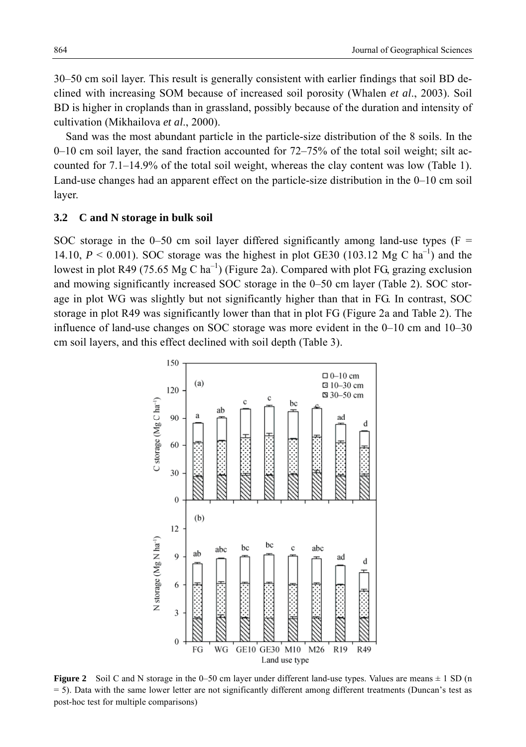30–50 cm soil layer. This result is generally consistent with earlier findings that soil BD declined with increasing SOM because of increased soil porosity (Whalen *et al*., 2003). Soil BD is higher in croplands than in grassland, possibly because of the duration and intensity of cultivation (Mikhailova *et al*., 2000).

Sand was the most abundant particle in the particle-size distribution of the 8 soils. In the 0–10 cm soil layer, the sand fraction accounted for  $72-75\%$  of the total soil weight; silt accounted for 7.1–14.9% of the total soil weight, whereas the clay content was low (Table 1). Land-use changes had an apparent effect on the particle-size distribution in the 0–10 cm soil layer.

#### **3.2 C and N storage in bulk soil**

SOC storage in the 0–50 cm soil layer differed significantly among land-use types ( $F =$ 14.10,  $P < 0.001$ ). SOC storage was the highest in plot GE30 (103.12 Mg C ha<sup>-1</sup>) and the lowest in plot R49 (75.65 Mg C ha<sup>-1</sup>) (Figure 2a). Compared with plot FG, grazing exclusion and mowing significantly increased SOC storage in the 0–50 cm layer (Table 2). SOC storage in plot WG was slightly but not significantly higher than that in FG. In contrast, SOC storage in plot R49 was significantly lower than that in plot FG (Figure 2a and Table 2). The influence of land-use changes on SOC storage was more evident in the 0–10 cm and 10–30 cm soil layers, and this effect declined with soil depth (Table 3).



**Figure 2** Soil C and N storage in the 0–50 cm layer under different land-use types. Values are means  $\pm$  1 SD (n = 5). Data with the same lower letter are not significantly different among different treatments (Duncan's test as post-hoc test for multiple comparisons)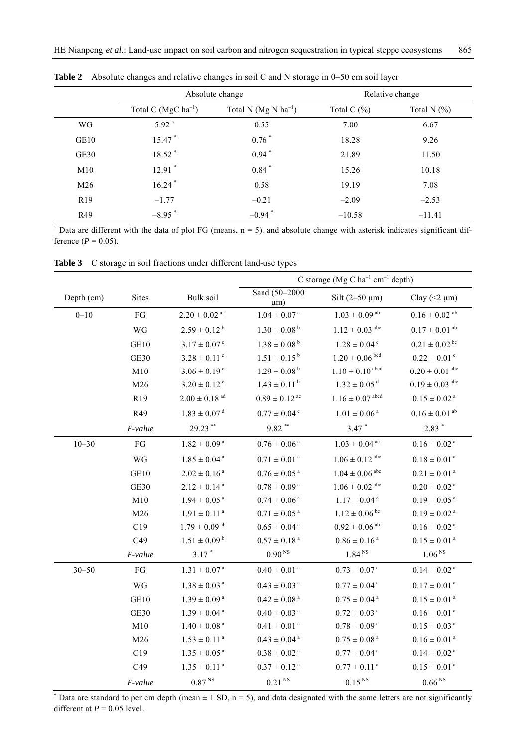|                 |                                    | Absolute change          | Relative change |                |  |
|-----------------|------------------------------------|--------------------------|-----------------|----------------|--|
|                 | Total C ( $MgC$ ha <sup>-1</sup> ) | Total N $(Mg N ha^{-1})$ | Total C $(\% )$ | Total N $(\%)$ |  |
| WG              | $5.92^{\text{t}}$                  | 0.55                     | 7.00            | 6.67           |  |
| GE10            | 15.47 *                            | $0.76$ <sup>*</sup>      | 18.28           | 9.26           |  |
| GE30            | 18.52 *                            | $0.94$ <sup>*</sup>      | 21.89           | 11.50          |  |
| M10             | $12.91$ <sup>*</sup>               | $0.84$ <sup>*</sup>      | 15.26           | 10.18          |  |
| M26             | $16.24$ <sup>*</sup>               | 0.58                     | 19.19           | 7.08           |  |
| R <sub>19</sub> | $-1.77$                            | $-0.21$                  | $-2.09$         | $-2.53$        |  |
| R49             | $-8.95$ <sup>*</sup>               | $-0.94$ <sup>*</sup>     | $-10.58$        | $-11.41$       |  |

**Table 2** Absolute changes and relative changes in soil C and N storage in 0–50 cm soil layer

<sup>†</sup> Data are different with the data of plot FG (means,  $n = 5$ ), and absolute change with asterisk indicates significant difference ( $P = 0.05$ ).

**Table 3** C storage in soil fractions under different land-use types

|            |                 |                               | C storage (Mg C $ha^{-1}$ cm <sup>-1</sup> depth) |                                 |                                |
|------------|-----------------|-------------------------------|---------------------------------------------------|---------------------------------|--------------------------------|
| Depth (cm) | <b>Sites</b>    | Bulk soil                     | Sand $\overline{(50-2000)}$<br>$\mu$ m)           | Silt $(2-50 \mu m)$             | Clay ( $\leq$ $\mu$ m)         |
| $0 - 10$   | FG              | $2.20 \pm 0.02$ <sup>a†</sup> | $1.04 \pm 0.07$ <sup>a</sup>                      | $1.03 \pm 0.09$ <sup>ab</sup>   | $0.16 \pm 0.02$ <sup>ab</sup>  |
|            | <b>WG</b>       | $2.59 \pm 0.12^{\mathrm{b}}$  | $1.30 \pm 0.08^{\mathrm{b}}$                      | $1.12 \pm 0.03$ abc             | $0.17 \pm 0.01$ <sup>ab</sup>  |
|            | GE10            | $3.17 \pm 0.07$ <sup>c</sup>  | $1.38 \pm 0.08^{\mathrm{b}}$                      | $1.28 \pm 0.04$ <sup>c</sup>    | $0.21 \pm 0.02$ <sup>bc</sup>  |
|            | <b>GE30</b>     | $3.28 \pm 0.11$ <sup>c</sup>  | $1.51 \pm 0.15^{b}$                               | $1.20 \pm 0.06$ bcd             | $0.22 \pm 0.01$ °              |
|            | M10             | $3.06 \pm 0.19$ <sup>c</sup>  | $1.29 \pm 0.08^{\mathrm{b}}$                      | $1.10 \pm 0.10$ <sup>abcd</sup> | $0.20 \pm 0.01$ <sup>abc</sup> |
|            | M26             | $3.20 \pm 0.12$ <sup>c</sup>  | $1.43 \pm 0.11$ <sup>b</sup>                      | $1.32 \pm 0.05$ <sup>d</sup>    | $0.19 \pm 0.03$ abc            |
|            | R <sub>19</sub> | $2.00 \pm 0.18$ <sup>ad</sup> | $0.89 \pm 0.12$ <sup>ac</sup>                     | $1.16 \pm 0.07$ abcd            | $0.15 \pm 0.02$ <sup>a</sup>   |
|            | R49             | $1.83 \pm 0.07$ <sup>d</sup>  | $0.77 \pm 0.04$ <sup>c</sup>                      | $1.01 \pm 0.06^{\text{ a}}$     | $0.16 \pm 0.01$ <sup>ab</sup>  |
|            | F-value         | 29.23**                       | $9.82$ **                                         | $3.47$ *                        | $2.83*$                        |
| $10 - 30$  | FG              | $1.82 \pm 0.09$ <sup>a</sup>  | $0.76 \pm 0.06$ <sup>a</sup>                      | $1.03 \pm 0.04$ <sup>ac</sup>   | $0.16 \pm 0.02$ <sup>a</sup>   |
|            | WG              | $1.85 \pm 0.04$ <sup>a</sup>  | $0.71 \pm 0.01$ <sup>a</sup>                      | $1.06 \pm 0.12$ abc             | $0.18 \pm 0.01$ <sup>a</sup>   |
|            | GE10            | $2.02 \pm 0.16^{\text{a}}$    | $0.76 \pm 0.05$ <sup>a</sup>                      | $1.04 \pm 0.06$ abc             | $0.21 \pm 0.01$ <sup>a</sup>   |
|            | <b>GE30</b>     | $2.12 \pm 0.14$ <sup>a</sup>  | $0.78 \pm 0.09$ <sup>a</sup>                      | $1.06 \pm 0.02$ abc             | $0.20 \pm 0.02$ <sup>a</sup>   |
|            | M10             | $1.94 \pm 0.05$ <sup>a</sup>  | $0.74 \pm 0.06$ <sup>a</sup>                      | $1.17 \pm 0.04$ <sup>c</sup>    | $0.19 \pm 0.05$ <sup>a</sup>   |
|            | M26             | $1.91 \pm 0.11$ <sup>a</sup>  | $0.71 \pm 0.05$ <sup>a</sup>                      | $1.12 \pm 0.06^{\text{bc}}$     | $0.19 \pm 0.02$ <sup>a</sup>   |
|            | C19             | $1.79 \pm 0.09$ <sup>ab</sup> | $0.65 \pm 0.04$ <sup>a</sup>                      | $0.92\pm0.06^{\text{ ab}}$      | $0.16\pm0.02$ a                |
|            | C49             | $1.51 \pm 0.09^{\mathrm{b}}$  | $0.57 \pm 0.18$ <sup>a</sup>                      | $0.86 \pm 0.16^{\text{ a}}$     | $0.15 \pm 0.01$ <sup>a</sup>   |
|            | F-value         | $3.17$ *                      | $0.90^{\rm \, NS}$                                | 1.84 <sup>NS</sup>              | 1.06 <sup>NS</sup>             |
| $30 - 50$  | FG              | $1.31 \pm 0.07$ <sup>a</sup>  | $0.40 \pm 0.01$ <sup>a</sup>                      | $0.73 \pm 0.07$ <sup>a</sup>    | $0.14 \pm 0.02$ <sup>a</sup>   |
|            | <b>WG</b>       | $1.38 \pm 0.03$ <sup>a</sup>  | $0.43 \pm 0.03$ <sup>a</sup>                      | $0.77 \pm 0.04$ <sup>a</sup>    | $0.17 \pm 0.01$ <sup>a</sup>   |
|            | GE10            | $1.39 \pm 0.09^{\text{ a}}$   | $0.42 \pm 0.08$ <sup>a</sup>                      | $0.75 \pm 0.04$ <sup>a</sup>    | $0.15 \pm 0.01$ <sup>a</sup>   |
|            | <b>GE30</b>     | $1.39 \pm 0.04$ <sup>a</sup>  | $0.40 \pm 0.03$ <sup>a</sup>                      | $0.72 \pm 0.03$ <sup>a</sup>    | $0.16 \pm 0.01$ <sup>a</sup>   |
|            | M10             | $1.40 \pm 0.08$ <sup>a</sup>  | $0.41 \pm 0.01$ <sup>a</sup>                      | $0.78 \pm 0.09$ <sup>a</sup>    | $0.15 \pm 0.03$ <sup>a</sup>   |
|            | M26             | $1.53 \pm 0.11$ <sup>a</sup>  | $0.43 \pm 0.04$ <sup>a</sup>                      | $0.75 \pm 0.08$ <sup>a</sup>    | $0.16 \pm 0.01$ <sup>a</sup>   |
|            | C19             | $1.35 \pm 0.05^{\text{a}}$    | $0.38 \pm 0.02$ <sup>a</sup>                      | $0.77 \pm 0.04$ <sup>a</sup>    | $0.14 \pm 0.02$ <sup>a</sup>   |
|            | C49             | $1.35 \pm 0.11$ <sup>a</sup>  | $0.37 \pm 0.12$ <sup>a</sup>                      | $0.77 \pm 0.11$ <sup>a</sup>    | $0.15 \pm 0.01$ <sup>a</sup>   |
|            | F-value         | $0.87^{\,\rm NS}$             | $0.21$ <sup>NS</sup>                              | $0.15NS$                        | $0.66^{N}$                     |

<sup> $\dagger$ </sup> Data are standard to per cm depth (mean  $\pm$  1 SD, n = 5), and data designated with the same letters are not significantly different at  $P = 0.05$  level.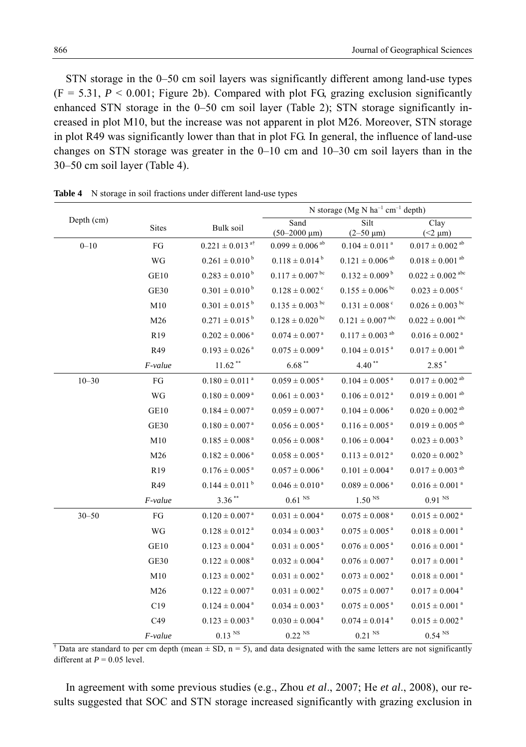STN storage in the 0–50 cm soil layers was significantly different among land-use types  $(F = 5.31, P < 0.001$ ; Figure 2b). Compared with plot FG, grazing exclusion significantly enhanced STN storage in the 0–50 cm soil layer (Table 2); STN storage significantly increased in plot M10, but the increase was not apparent in plot M26. Moreover, STN storage in plot R49 was significantly lower than that in plot FG. In general, the influence of land-use changes on STN storage was greater in the  $0-10$  cm and  $10-30$  cm soil layers than in the 30–50 cm soil layer (Table 4).

|            |                 |                                 | N storage (Mg N $ha^{-1}$ cm <sup>-1</sup> depth) |                                  |                                  |
|------------|-----------------|---------------------------------|---------------------------------------------------|----------------------------------|----------------------------------|
| Depth (cm) | <b>Sites</b>    | Bulk soil                       | Sand<br>$(50-2000 \mu m)$                         | Silt<br>$(2-50 \mu m)$           | Clay<br>$(<2 \mu m)$             |
| $0 - 10$   | FG              | $0.221 \pm 0.013$ <sup>a†</sup> | $0.099 \pm 0.006$ <sup>ab</sup>                   | $0.104 \pm 0.011$ <sup>a</sup>   | $0.017\pm0.002$ $^{\text{ab}}$   |
|            | WG              | $0.261 \pm 0.010^{\mathrm{b}}$  | $0.118 \pm 0.014^{\text{ b}}$                     | $0.121 \pm 0.006$ <sup>ab</sup>  | $0.018 \pm 0.001$ <sup>ab</sup>  |
|            | GE10            | $0.283 \pm 0.010^{\mathrm{b}}$  | $0.117 \pm 0.007$ <sup>bc</sup>                   | $0.132 \pm 0.009^{\mathrm{b}}$   | $0.022 \pm 0.002$ <sup>abc</sup> |
|            | <b>GE30</b>     | $0.301 \pm 0.010^{\mathrm{b}}$  | $0.128 \pm 0.002$ <sup>c</sup>                    | $0.155 \pm 0.006$ bc             | $0.023 \pm 0.005$ <sup>c</sup>   |
|            | M10             | $0.301 \pm 0.015^{\text{ b}}$   | $0.135 \pm 0.003$ bc                              | $0.131 \pm 0.008$ <sup>c</sup>   | $0.026 \pm 0.003$ bc             |
|            | M26             | $0.271 \pm 0.015^{\mathrm{b}}$  | $0.128 \pm 0.020$ <sup>bc</sup>                   | $0.121 \pm 0.007$ <sup>abc</sup> | $0.022 \pm 0.001$ abc            |
|            | R <sub>19</sub> | $0.202 \pm 0.006$ <sup>a</sup>  | $0.074 \pm 0.007$ <sup>a</sup>                    | $0.117 \pm 0.003$ <sup>ab</sup>  | $0.016 \pm 0.002$ <sup>a</sup>   |
|            | R49             | $0.193 \pm 0.026$ <sup>a</sup>  | $0.075 \pm 0.009$ <sup>a</sup>                    | $0.104 \pm 0.015$ <sup>a</sup>   | $0.017 \pm 0.001$ <sup>ab</sup>  |
|            | F-value         | $11.62**$                       | $6.68$ **                                         | $4.40**$                         | $2.85*$                          |
| $10 - 30$  | FG              | $0.180 \pm 0.011$ <sup>a</sup>  | $0.059 \pm 0.005$ <sup>a</sup>                    | $0.104 \pm 0.005$ <sup>a</sup>   | $0.017 \pm 0.002$ <sup>ab</sup>  |
|            | WG              | $0.180 \pm 0.009$ <sup>a</sup>  | $0.061 \pm 0.003$ <sup>a</sup>                    | $0.106 \pm 0.012$ <sup>a</sup>   | $0.019\pm0.001$ $^{\text{ab}}$   |
|            | GE10            | $0.184 \pm 0.007$ <sup>a</sup>  | $0.059 \pm 0.007$ <sup>a</sup>                    | $0.104 \pm 0.006$ <sup>a</sup>   | $0.020 \pm 0.002$ <sup>ab</sup>  |
|            | <b>GE30</b>     | $0.180 \pm 0.007$ <sup>a</sup>  | $0.056 \pm 0.005$ <sup>a</sup>                    | $0.116 \pm 0.005$ <sup>a</sup>   | $0.019\pm0.005$ $^{\text{ab}}$   |
|            | M10             | $0.185 \pm 0.008$ <sup>a</sup>  | $0.056 \pm 0.008$ <sup>a</sup>                    | $0.106 \pm 0.004$ <sup>a</sup>   | $0.023 \pm 0.003^{\mathrm{b}}$   |
|            | M26             | $0.182 \pm 0.006$ <sup>a</sup>  | $0.058 \pm 0.005$ <sup>a</sup>                    | $0.113 \pm 0.012$ <sup>a</sup>   | $0.020 \pm 0.002^{\mathrm{b}}$   |
|            | R <sub>19</sub> | $0.176 \pm 0.005$ <sup>a</sup>  | $0.057 \pm 0.006$ <sup>a</sup>                    | $0.101 \pm 0.004$ <sup>a</sup>   | $0.017 \pm 0.003$ <sup>ab</sup>  |
|            | R49             | $0.144 \pm 0.011^{b}$           | $0.046 \pm 0.010^{\text{ a}}$                     | $0.089 \pm 0.006$ <sup>a</sup>   | $0.016 \pm 0.001$ <sup>a</sup>   |
|            | F-value         | $3.36***$                       | $0.61$ $^{\rm NS}$                                | $1.50^{N}$                       | 0.91 <sup>NS</sup>               |
| $30 - 50$  | FG              | $0.120 \pm 0.007$ <sup>a</sup>  | $0.031 \pm 0.004$ <sup>a</sup>                    | $0.075 \pm 0.008$ <sup>a</sup>   | $0.015 \pm 0.002$ <sup>a</sup>   |
|            | WG              | $0.128 \pm 0.012$ <sup>a</sup>  | $0.034 \pm 0.003$ <sup>a</sup>                    | $0.075 \pm 0.005$ <sup>a</sup>   | $0.018 \pm 0.001$ <sup>a</sup>   |
|            | GE10            | $0.123 \pm 0.004$ <sup>a</sup>  | $0.031 \pm 0.005$ <sup>a</sup>                    | $0.076 \pm 0.005$ <sup>a</sup>   | $0.016 \pm 0.001$ <sup>a</sup>   |
|            | <b>GE30</b>     | $0.122 \pm 0.008$ <sup>a</sup>  | $0.032 \pm 0.004$ <sup>a</sup>                    | $0.076 \pm 0.007$ <sup>a</sup>   | $0.017 \pm 0.001$ <sup>a</sup>   |
|            | M10             | $0.123 \pm 0.002$ <sup>a</sup>  | $0.031 \pm 0.002$ <sup>a</sup>                    | $0.073 \pm 0.002$ <sup>a</sup>   | $0.018 \pm 0.001$ <sup>a</sup>   |
|            | M26             | $0.122 \pm 0.007$ <sup>a</sup>  | $0.031 \pm 0.002$ <sup>a</sup>                    | $0.075 \pm 0.007$ <sup>a</sup>   | $0.017 \pm 0.004$ <sup>a</sup>   |
|            | C19             | $0.124 \pm 0.004$ <sup>a</sup>  | $0.034 \pm 0.003$ <sup>a</sup>                    | $0.075 \pm 0.005$ <sup>a</sup>   | $0.015 \pm 0.001$ <sup>a</sup>   |
|            | C49             | $0.123 \pm 0.003$ <sup>a</sup>  | $0.030 \pm 0.004$ <sup>a</sup>                    | $0.074 \pm 0.014$ <sup>a</sup>   | $0.015 \pm 0.002$ <sup>a</sup>   |
|            | <i>F-value</i>  | $0.13$ $^{\rm NS}$              | $0.22$ <sup>NS</sup>                              | $0.21$ $^{\rm NS}$               | $0.54$ <sup>NS</sup>             |

**Table 4** N storage in soil fractions under different land-use types

<sup> $\dagger$ </sup> Data are standard to per cm depth (mean  $\pm$  SD, n = 5), and data designated with the same letters are not significantly different at  $P = 0.05$  level.

In agreement with some previous studies (e.g., Zhou *et al*., 2007; He *et al*., 2008), our results suggested that SOC and STN storage increased significantly with grazing exclusion in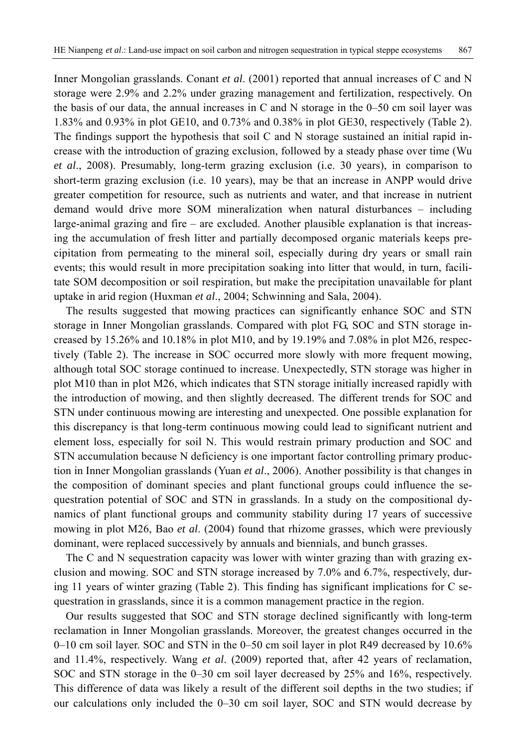Inner Mongolian grasslands. Conant *et al*. (2001) reported that annual increases of C and N storage were 2.9% and 2.2% under grazing management and fertilization, respectively. On the basis of our data, the annual increases in C and N storage in the  $0-50$  cm soil layer was 1.83% and 0.93% in plot GE10, and 0.73% and 0.38% in plot GE30, respectively (Table 2). The findings support the hypothesis that soil C and N storage sustained an initial rapid increase with the introduction of grazing exclusion, followed by a steady phase over time (Wu *et al*., 2008). Presumably, long-term grazing exclusion (i.e. 30 years), in comparison to short-term grazing exclusion (i.e. 10 years), may be that an increase in ANPP would drive greater competition for resource, such as nutrients and water, and that increase in nutrient demand would drive more SOM mineralization when natural disturbances – including large-animal grazing and fire  $-$  are excluded. Another plausible explanation is that increasing the accumulation of fresh litter and partially decomposed organic materials keeps precipitation from permeating to the mineral soil, especially during dry years or small rain events; this would result in more precipitation soaking into litter that would, in turn, facilitate SOM decomposition or soil respiration, but make the precipitation unavailable for plant uptake in arid region (Huxman *et al*., 2004; Schwinning and Sala, 2004).

The results suggested that mowing practices can significantly enhance SOC and STN storage in Inner Mongolian grasslands. Compared with plot FG, SOC and STN storage increased by  $15.26\%$  and  $10.18\%$  in plot M10, and by 19.19% and 7.08% in plot M26, respectively (Table 2). The increase in SOC occurred more slowly with more frequent mowing, although total SOC storage continued to increase. Unexpectedly, STN storage was higher in plot M10 than in plot M26, which indicates that STN storage initially increased rapidly with the introduction of mowing, and then slightly decreased. The different trends for SOC and STN under continuous mowing are interesting and unexpected. One possible explanation for this discrepancy is that long-term continuous mowing could lead to significant nutrient and element loss, especially for soil N. This would restrain primary production and SOC and STN accumulation because N deficiency is one important factor controlling primary production in Inner Mongolian grasslands (Yuan *et al*., 2006). Another possibility is that changes in the composition of dominant species and plant functional groups could influence the sequestration potential of SOC and STN in grasslands. In a study on the compositional dynamics of plant functional groups and community stability during 17 years of successive mowing in plot M26, Bao *et al*. (2004) found that rhizome grasses, which were previously dominant, were replaced successively by annuals and biennials, and bunch grasses.

The C and N sequestration capacity was lower with winter grazing than with grazing exclusion and mowing. SOC and STN storage increased by 7.0% and 6.7%, respectively, during 11 years of winter grazing (Table 2). This finding has significant implications for C sequestration in grasslands, since it is a common management practice in the region.

Our results suggested that SOC and STN storage declined significantly with long-term reclamation in Inner Mongolian grasslands. Moreover, the greatest changes occurred in the 0–10 cm soil layer. SOC and STN in the 0–50 cm soil layer in plot R49 decreased by 10.6% and 11.4%, respectively. Wang *et al*. (2009) reported that, after 42 years of reclamation, SOC and STN storage in the 0–30 cm soil layer decreased by 25% and 16%, respectively. This difference of data was likely a result of the different soil depths in the two studies; if our calculations only included the 0–30 cm soil layer, SOC and STN would decrease by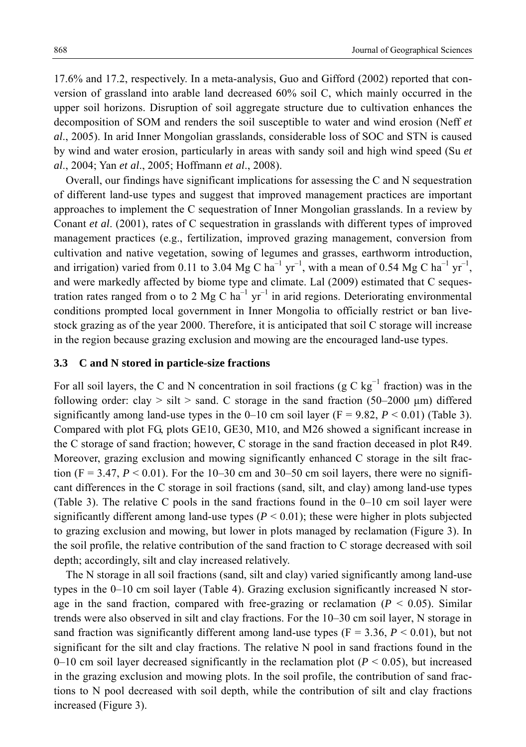17.6% and 17.2, respectively. In a meta-analysis, Guo and Gifford (2002) reported that conversion of grassland into arable land decreased 60% soil C, which mainly occurred in the upper soil horizons. Disruption of soil aggregate structure due to cultivation enhances the decomposition of SOM and renders the soil susceptible to water and wind erosion (Neff *et al*., 2005). In arid Inner Mongolian grasslands, considerable loss of SOC and STN is caused by wind and water erosion, particularly in areas with sandy soil and high wind speed (Su *et al*., 2004; Yan *et al*., 2005; Hoffmann *et al*., 2008).

Overall, our findings have significant implications for assessing the C and N sequestration of different land-use types and suggest that improved management practices are important approaches to implement the C sequestration of Inner Mongolian grasslands. In a review by Conant *et al*. (2001), rates of C sequestration in grasslands with different types of improved management practices (e.g., fertilization, improved grazing management, conversion from cultivation and native vegetation, sowing of legumes and grasses, earthworm introduction, and irrigation) varied from 0.11 to 3.04 Mg C ha<sup>-1</sup> yr<sup>-1</sup>, with a mean of 0.54 Mg C ha<sup>-1</sup> yr<sup>-1</sup>, and were markedly affected by biome type and climate. Lal (2009) estimated that C sequestration rates ranged from o to 2 Mg C  $ha^{-1}$  yr<sup>-1</sup> in arid regions. Deteriorating environmental conditions prompted local government in Inner Mongolia to officially restrict or ban livestock grazing as of the year 2000. Therefore, it is anticipated that soil C storage will increase in the region because grazing exclusion and mowing are the encouraged land-use types.

#### **3.3 C and N stored in particle-size fractions**

For all soil layers, the C and N concentration in soil fractions ( $g C kg^{-1}$  fraction) was in the following order: clay  $>$  silt  $>$  sand. C storage in the sand fraction (50–2000 µm) differed significantly among land-use types in the  $0-10$  cm soil layer (F = 9.82,  $P < 0.01$ ) (Table 3). Compared with plot FG, plots GE10, GE30, M10, and M26 showed a significant increase in the C storage of sand fraction; however, C storage in the sand fraction deceased in plot R49. Moreover, grazing exclusion and mowing significantly enhanced C storage in the silt fraction (F = 3.47,  $P < 0.01$ ). For the 10–30 cm and 30–50 cm soil layers, there were no significant differences in the C storage in soil fractions (sand, silt, and clay) among land-use types (Table 3). The relative C pools in the sand fractions found in the 0–10 cm soil layer were significantly different among land-use types  $(P < 0.01)$ ; these were higher in plots subjected to grazing exclusion and mowing, but lower in plots managed by reclamation (Figure 3). In the soil profile, the relative contribution of the sand fraction to C storage decreased with soil depth; accordingly, silt and clay increased relatively.

The N storage in all soil fractions (sand, silt and clay) varied significantly among land-use types in the 0–10 cm soil layer (Table 4). Grazing exclusion significantly increased N storage in the sand fraction, compared with free-grazing or reclamation  $(P < 0.05)$ . Similar trends were also observed in silt and clay fractions. For the 10–30 cm soil layer, N storage in sand fraction was significantly different among land-use types ( $F = 3.36$ ,  $P < 0.01$ ), but not significant for the silt and clay fractions. The relative N pool in sand fractions found in the 0–10 cm soil layer decreased significantly in the reclamation plot  $(P < 0.05)$ , but increased in the grazing exclusion and mowing plots. In the soil profile, the contribution of sand fractions to N pool decreased with soil depth, while the contribution of silt and clay fractions increased (Figure 3).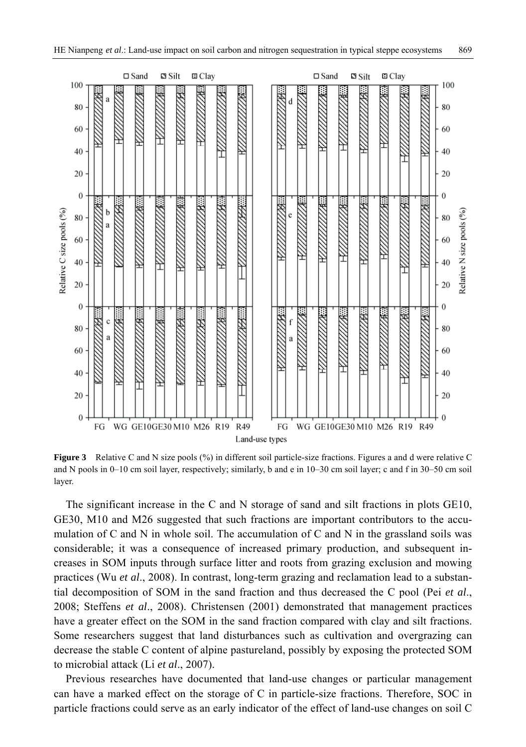

**Figure 3** Relative C and N size pools (%) in different soil particle-size fractions. Figures a and d were relative C and N pools in 0–10 cm soil layer, respectively; similarly, b and e in 10–30 cm soil layer; c and f in 30–50 cm soil layer.

The significant increase in the C and N storage of sand and silt fractions in plots GE10, GE30, M10 and M26 suggested that such fractions are important contributors to the accumulation of C and N in whole soil. The accumulation of C and N in the grassland soils was considerable; it was a consequence of increased primary production, and subsequent increases in SOM inputs through surface litter and roots from grazing exclusion and mowing practices (Wu *et al*., 2008). In contrast, long-term grazing and reclamation lead to a substantial decomposition of SOM in the sand fraction and thus decreased the C pool (Pei *et al*., 2008; Steffens *et al*., 2008). Christensen (2001) demonstrated that management practices have a greater effect on the SOM in the sand fraction compared with clay and silt fractions. Some researchers suggest that land disturbances such as cultivation and overgrazing can decrease the stable C content of alpine pastureland, possibly by exposing the protected SOM to microbial attack (Li *et al*., 2007).

Previous researches have documented that land-use changes or particular management can have a marked effect on the storage of C in particle-size fractions. Therefore, SOC in particle fractions could serve as an early indicator of the effect of land-use changes on soil C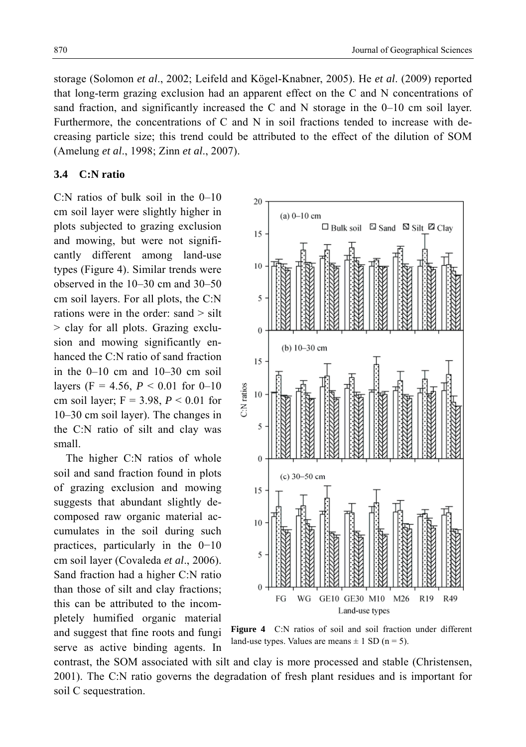storage (Solomon *et al*., 2002; Leifeld and Kögel-Knabner, 2005). He *et al*. (2009) reported that long-term grazing exclusion had an apparent effect on the C and N concentrations of sand fraction, and significantly increased the C and N storage in the 0–10 cm soil layer. Furthermore, the concentrations of C and N in soil fractions tended to increase with decreasing particle size; this trend could be attributed to the effect of the dilution of SOM (Amelung *et al*., 1998; Zinn *et al*., 2007).

## **3.4 C:N ratio**

C:N ratios of bulk soil in the 0–10 cm soil layer were slightly higher in plots subjected to grazing exclusion and mowing, but were not significantly different among land-use types (Figure 4). Similar trends were observed in the 10–30 cm and 30–50 cm soil layers. For all plots, the C:N rations were in the order: sand > silt > clay for all plots. Grazing exclusion and mowing significantly enhanced the C:N ratio of sand fraction in the 0–10 cm and 10–30 cm soil layers (F = 4.56,  $P < 0.01$  for 0–10 cm soil layer;  $F = 3.98$ ,  $P < 0.01$  for 10–30 cm soil layer). The changes in the C:N ratio of silt and clay was small.

The higher C:N ratios of whole soil and sand fraction found in plots of grazing exclusion and mowing suggests that abundant slightly decomposed raw organic material accumulates in the soil during such practices, particularly in the 0−10 cm soil layer (Covaleda *et al*., 2006). Sand fraction had a higher C:N ratio than those of silt and clay fractions; this can be attributed to the incompletely humified organic material and suggest that fine roots and fungi

serve as active binding agents. In



**Figure 4** C:N ratios of soil and soil fraction under different land-use types. Values are means  $\pm$  1 SD (n = 5).

contrast, the SOM associated with silt and clay is more processed and stable (Christensen, 2001). The C:N ratio governs the degradation of fresh plant residues and is important for soil C sequestration.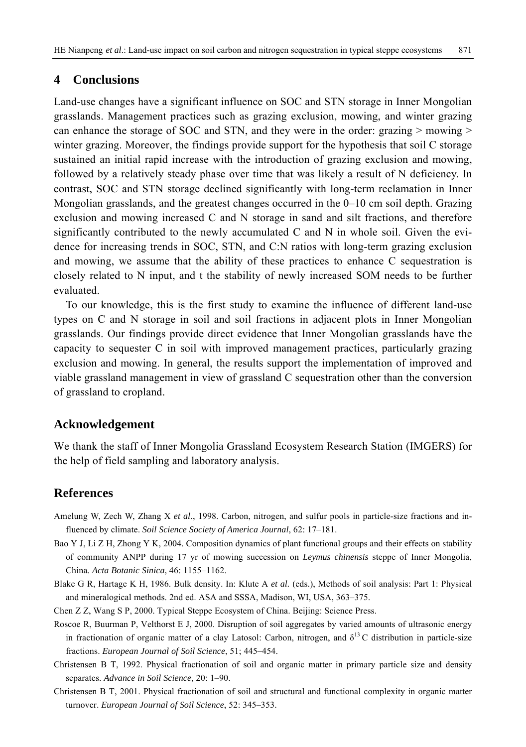# **4 Conclusions**

Land-use changes have a significant influence on SOC and STN storage in Inner Mongolian grasslands. Management practices such as grazing exclusion, mowing, and winter grazing can enhance the storage of SOC and STN, and they were in the order: grazing  $>$  mowing  $>$ winter grazing. Moreover, the findings provide support for the hypothesis that soil C storage sustained an initial rapid increase with the introduction of grazing exclusion and mowing, followed by a relatively steady phase over time that was likely a result of N deficiency. In contrast, SOC and STN storage declined significantly with long-term reclamation in Inner Mongolian grasslands, and the greatest changes occurred in the 0–10 cm soil depth. Grazing exclusion and mowing increased C and N storage in sand and silt fractions, and therefore significantly contributed to the newly accumulated C and N in whole soil. Given the evidence for increasing trends in SOC, STN, and C:N ratios with long-term grazing exclusion and mowing, we assume that the ability of these practices to enhance C sequestration is closely related to N input, and t the stability of newly increased SOM needs to be further evaluated.

To our knowledge, this is the first study to examine the influence of different land-use types on C and N storage in soil and soil fractions in adjacent plots in Inner Mongolian grasslands. Our findings provide direct evidence that Inner Mongolian grasslands have the capacity to sequester C in soil with improved management practices, particularly grazing exclusion and mowing. In general, the results support the implementation of improved and viable grassland management in view of grassland C sequestration other than the conversion of grassland to cropland.

## **Acknowledgement**

We thank the staff of Inner Mongolia Grassland Ecosystem Research Station (IMGERS) for the help of field sampling and laboratory analysis.

## **References**

- Amelung W, Zech W, Zhang X *et al.*, 1998. Carbon, nitrogen, and sulfur pools in particle-size fractions and influenced by climate. *Soil Science Society of America Journal*, 62: 17–181.
- Bao Y J, Li Z H, Zhong Y K, 2004. Composition dynamics of plant functional groups and their effects on stability of community ANPP during 17 yr of mowing succession on *Leymus chinensis* steppe of Inner Mongolia, China. *Acta Botanic Sinica*, 46: 1155–1162.
- Blake G R, Hartage K H, 1986. Bulk density. In: Klute A *et al.* (eds.), Methods of soil analysis: Part 1: Physical and mineralogical methods. 2nd ed. ASA and SSSA, Madison, WI, USA, 363–375.
- Chen Z Z, Wang S P, 2000. Typical Steppe Ecosystem of China. Beijing: Science Press.
- Roscoe R, Buurman P, Velthorst E J, 2000. Disruption of soil aggregates by varied amounts of ultrasonic energy in fractionation of organic matter of a clay Latosol: Carbon, nitrogen, and  $\delta^{13}$ C distribution in particle-size fractions. *European Journal of Soil Science*, 51; 445–454.
- Christensen B T, 1992. Physical fractionation of soil and organic matter in primary particle size and density separates. *Advance in Soil Science*, 20: 1–90.
- Christensen B T, 2001. Physical fractionation of soil and structural and functional complexity in organic matter turnover. *European Journal of Soil Science*, 52: 345–353.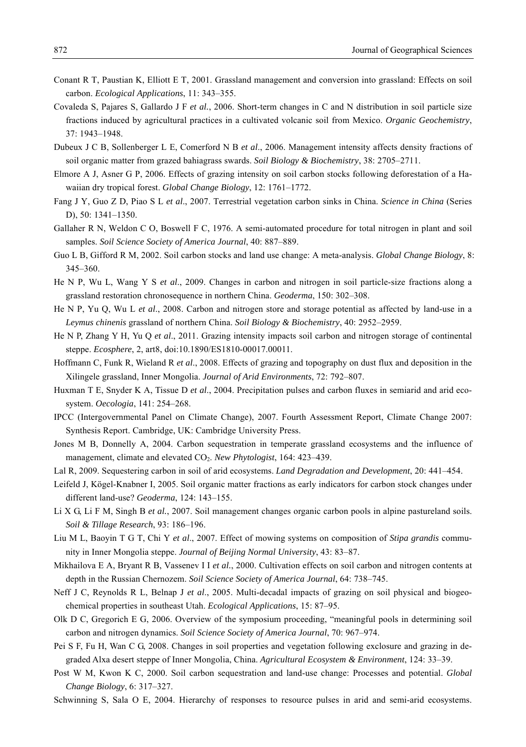- Conant R T, Paustian K, Elliott E T, 2001. Grassland management and conversion into grassland: Effects on soil carbon. *Ecological Applications*, 11: 343–355.
- Covaleda S, Pajares S, Gallardo J F *et al.*, 2006. Short-term changes in C and N distribution in soil particle size fractions induced by agricultural practices in a cultivated volcanic soil from Mexico. *Organic Geochemistry*, 37: 1943–1948.
- Dubeux J C B, Sollenberger L E, Comerford N B *et al*., 2006. Management intensity affects density fractions of soil organic matter from grazed bahiagrass swards. *Soil Biology & Biochemistry*, 38: 2705–2711.
- Elmore A J, Asner G P, 2006. Effects of grazing intensity on soil carbon stocks following deforestation of a Hawaiian dry tropical forest. *Global Change Biology*, 12: 1761–1772.
- Fang J Y, Guo Z D, Piao S L *et al*., 2007. Terrestrial vegetation carbon sinks in China. *Science in China* (Series D), 50: 1341–1350.
- Gallaher R N, Weldon C O, Boswell F C, 1976. A semi-automated procedure for total nitrogen in plant and soil samples. *Soil Science Society of America Journal*, 40: 887–889.
- Guo L B, Gifford R M, 2002. Soil carbon stocks and land use change: A meta-analysis. *Global Change Biology*, 8: 345–360.
- He N P, Wu L, Wang Y S *et al*., 2009. Changes in carbon and nitrogen in soil particle-size fractions along a grassland restoration chronosequence in northern China. *Geoderma*, 150: 302–308.
- He N P, Yu Q, Wu L *et al*., 2008. Carbon and nitrogen store and storage potential as affected by land-use in a *Leymus chinenis* grassland of northern China. *Soil Biology & Biochemistry*, 40: 2952–2959.
- He N P, Zhang Y H, Yu Q *et al*., 2011. Grazing intensity impacts soil carbon and nitrogen storage of continental steppe. *Ecosphere*, 2, art8, doi:10.1890/ES1810-00017.00011.
- Hoffmann C, Funk R, Wieland R *et al*., 2008. Effects of grazing and topography on dust flux and deposition in the Xilingele grassland, Inner Mongolia. *Journal of Arid Environments*, 72: 792–807.
- Huxman T E, Snyder K A, Tissue D *et al*., 2004. Precipitation pulses and carbon fluxes in semiarid and arid ecosystem. *Oecologia*, 141: 254–268.
- IPCC (Intergovernmental Panel on Climate Change), 2007. Fourth Assessment Report, Climate Change 2007: Synthesis Report. Cambridge, UK: Cambridge University Press.
- Jones M B, Donnelly A, 2004. Carbon sequestration in temperate grassland ecosystems and the influence of management, climate and elevated CO<sub>2</sub>. *New Phytologist*, 164: 423–439.
- Lal R, 2009. Sequestering carbon in soil of arid ecosystems. *Land Degradation and Development*, 20: 441–454.
- Leifeld J, Kögel-Knabner I, 2005. Soil organic matter fractions as early indicators for carbon stock changes under different land-use? *Geoderma*, 124: 143–155.
- Li X G, Li F M, Singh B *et al.*, 2007. Soil management changes organic carbon pools in alpine pastureland soils. *Soil & Tillage Research*, 93: 186–196.
- Liu M L, Baoyin T G T, Chi Y *et al*., 2007. Effect of mowing systems on composition of *Stipa grandis* community in Inner Mongolia steppe. *Journal of Beijing Normal University*, 43: 83–87.
- Mikhailova E A, Bryant R B, Vassenev I I *et al.*, 2000. Cultivation effects on soil carbon and nitrogen contents at depth in the Russian Chernozem. *Soil Science Society of America Journal*, 64: 738–745.
- Neff J C, Reynolds R L, Belnap J *et al*., 2005. Multi-decadal impacts of grazing on soil physical and biogeochemical properties in southeast Utah. *Ecological Applications*, 15: 87–95.
- Olk D C, Gregorich E G, 2006. Overview of the symposium proceeding, "meaningful pools in determining soil carbon and nitrogen dynamics. *Soil Science Society of America Journal*, 70: 967–974.
- Pei S F, Fu H, Wan C G, 2008. Changes in soil properties and vegetation following exclosure and grazing in degraded Alxa desert steppe of Inner Mongolia, China. *Agricultural Ecosystem & Environment*, 124: 33–39.
- Post W M, Kwon K C, 2000. Soil carbon sequestration and land-use change: Processes and potential. *Global Change Biology*, 6: 317–327.
- Schwinning S, Sala O E, 2004. Hierarchy of responses to resource pulses in arid and semi-arid ecosystems.